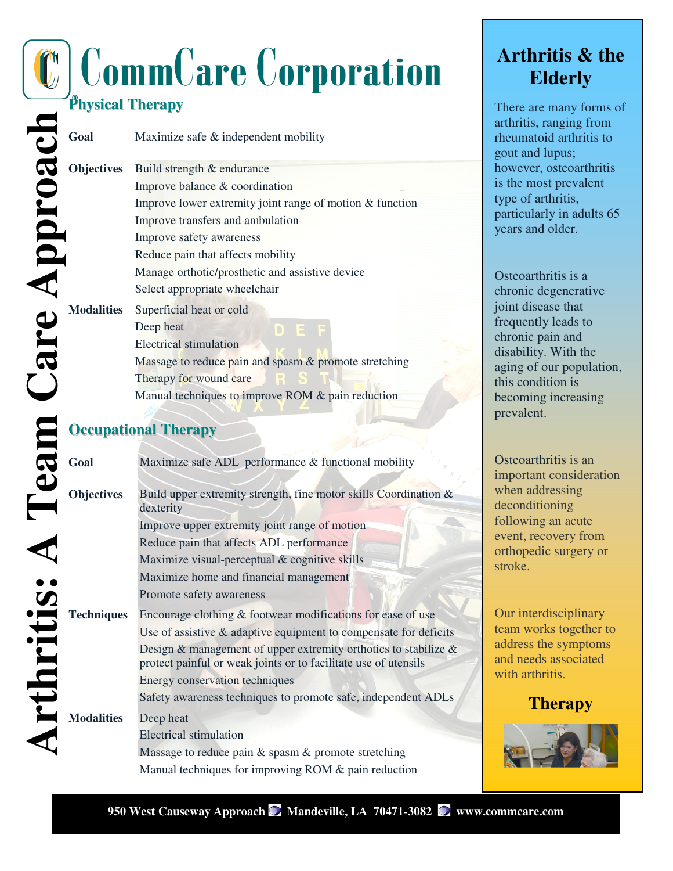# **CommCare Corporation**

## **Physical Therapy**

| <b>Objectives</b> | Build strength & endurance                               |
|-------------------|----------------------------------------------------------|
|                   | Improve balance & coordination                           |
|                   | Improve lower extremity joint range of motion & function |
|                   | Improve transfers and ambulation                         |
|                   | Improve safety awareness                                 |
|                   | Reduce pain that affects mobility                        |
|                   | Manage orthotic/prosthetic and assistive device          |
|                   | Select appropriate wheelchair                            |
| <b>Modalities</b> | Superficial heat or cold                                 |
|                   | Deep heat                                                |
|                   | Electrical stimulation                                   |
|                   | Massage to reduce pain and spasm & promote stretching    |
|                   | Therapy for wound care                                   |
|                   | Manual techniques to improve ROM & pain reduction        |

#### **Occupational Therapy**

| <b>Physical Therapy</b> |                                                                               |
|-------------------------|-------------------------------------------------------------------------------|
| Goal                    | Maximize safe & independent mobility                                          |
| <b>Objectives</b>       | Build strength & endurance                                                    |
|                         | Improve balance & coordination                                                |
|                         | Improve lower extremity joint range of motion & function                      |
|                         | Improve transfers and ambulation                                              |
|                         | Improve safety awareness                                                      |
|                         | Reduce pain that affects mobility                                             |
|                         | Manage orthotic/prosthetic and assistive device                               |
|                         | Select appropriate wheelchair                                                 |
| <b>Modalities</b>       | Superficial heat or cold                                                      |
|                         | Deep heat                                                                     |
|                         | <b>Electrical stimulation</b>                                                 |
|                         | Massage to reduce pain and spasm & promote stretching                         |
|                         | Therapy for wound care                                                        |
|                         | Manual techniques to improve ROM & pain reduction                             |
|                         |                                                                               |
|                         | <b>Occupational Therapy</b>                                                   |
|                         |                                                                               |
| Goal                    | Maximize safe ADL performance & functional mobility                           |
| <b>Objectives</b>       | Build upper extremity strength, fine motor skills Coordination &<br>dexterity |
|                         | Improve upper extremity joint range of motion                                 |
|                         | Reduce pain that affects ADL performance                                      |
|                         | Maximize visual-perceptual & cognitive skills                                 |
|                         | Maximize home and financial management                                        |
|                         | Promote safety awareness                                                      |
| <b>Techniques</b>       | Encourage clothing & footwear modifications for ease of use                   |
|                         | Use of assistive $\&$ adaptive equipment to compensate for deficits           |
|                         | Design $\&$ management of upper extremity orthotics to stabilize $\&$         |
|                         | protect painful or weak joints or to facilitate use of utensils               |
|                         | Energy conservation techniques                                                |
|                         | Safety awareness techniques to promote safe, independent ADLs                 |
| <b>Modalities</b>       | Deep heat                                                                     |
|                         | <b>Electrical stimulation</b>                                                 |
|                         | Massage to reduce pain & spasm & promote stretching                           |
|                         | Manual techniques for improving ROM & pain reduction                          |

### **Arthritis & the Elderly**

There are many forms of arthritis, ranging from rheumatoid arthritis to gout and lupus; however, osteoarthritis is the most prevalent type of arthritis, particularly in adults 65 years and older.

Osteoarthritis is a chronic degenerative joint disease that frequently leads to chronic pain and disability. With the aging of our population, this condition is becoming increasing prevalent.

Osteoarthritis is an important consideration when addressing deconditioning following an acute event, recovery from orthopedic surgery or stroke.

Our interdisciplinary team works together to address the symptoms and needs associated with arthritis.

#### **Therapy**